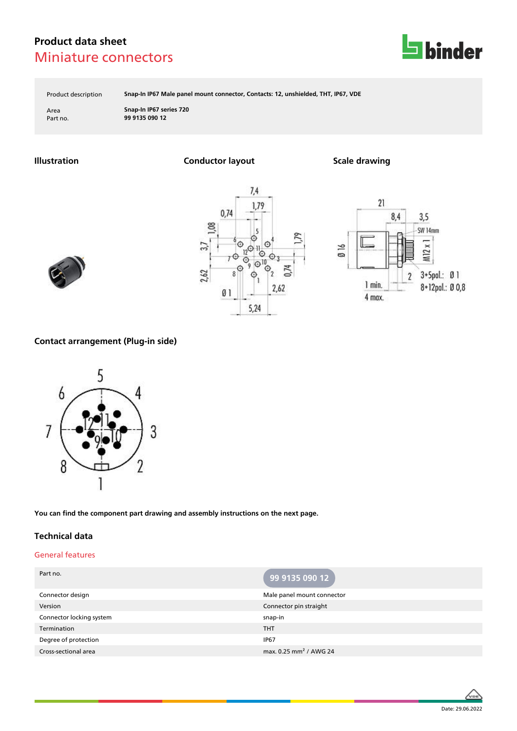

Product description **Snap-In IP67 Male panel mount connector, Contacts: 12, unshielded, THT, IP67, VDE**

Area **Snap-In IP67 series 720** Part no. **99 9135 090 12**

**Illustration Conductor layout Scale drawing**







### **Contact arrangement (Plug-in side)**



**You can find the component part drawing and assembly instructions on the next page.**

### **Technical data**

#### General features

| Part no.                 | 99 9135 090 12                     |
|--------------------------|------------------------------------|
| Connector design         | Male panel mount connector         |
| Version                  | Connector pin straight             |
| Connector locking system | snap-in                            |
| Termination              | <b>THT</b>                         |
| Degree of protection     | <b>IP67</b>                        |
| Cross-sectional area     | max. 0.25 mm <sup>2</sup> / AWG 24 |

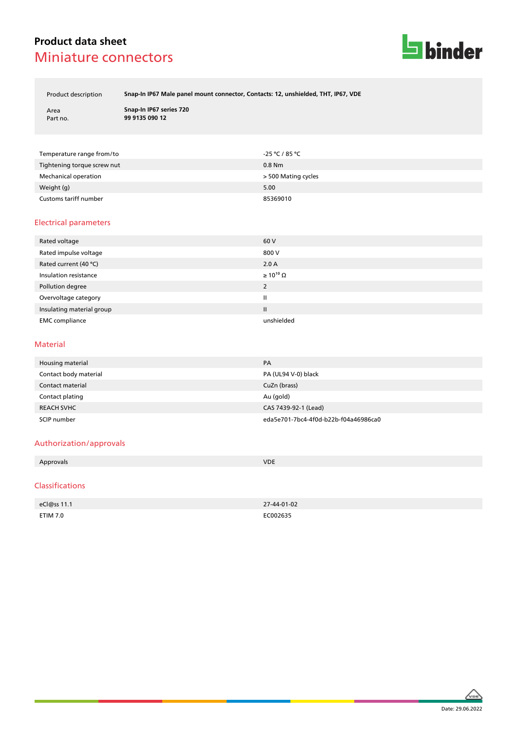

Product description **Snap-In IP67 Male panel mount connector, Contacts: 12, unshielded, THT, IP67, VDE**

Area **Snap-In IP67 series 720** Part no. **99 9135 090 12**

| Temperature range from/to   | -25 ℃ / 85 ℃        |
|-----------------------------|---------------------|
| Tightening torque screw nut | $0.8$ Nm            |
| Mechanical operation        | > 500 Mating cycles |
| Weight (g)                  | 5.00                |
| Customs tariff number       | 85369010            |

### Electrical parameters

| Rated voltage             | 60 V                  |
|---------------------------|-----------------------|
| Rated impulse voltage     | 800 V                 |
| Rated current (40 °C)     | 2.0A                  |
| Insulation resistance     | $\geq 10^{10} \Omega$ |
| Pollution degree          | 2                     |
| Overvoltage category      | Ш                     |
| Insulating material group | Ш                     |
| <b>EMC</b> compliance     | unshielded            |

#### Material

| Housing material      | PA                                   |
|-----------------------|--------------------------------------|
| Contact body material | PA (UL94 V-0) black                  |
| Contact material      | CuZn (brass)                         |
| Contact plating       | Au (gold)                            |
| <b>REACH SVHC</b>     | CAS 7439-92-1 (Lead)                 |
| SCIP number           | eda5e701-7bc4-4f0d-b22b-f04a46986ca0 |

#### Authorization/approvals

| Approvals      | <b>VDE</b> |
|----------------|------------|
|                |            |
| C <sub>l</sub> |            |

#### Classifications

| eCl@ss 11.1 | 27-44-01-02 |
|-------------|-------------|
| ETIM 7.0    | EC002635    |

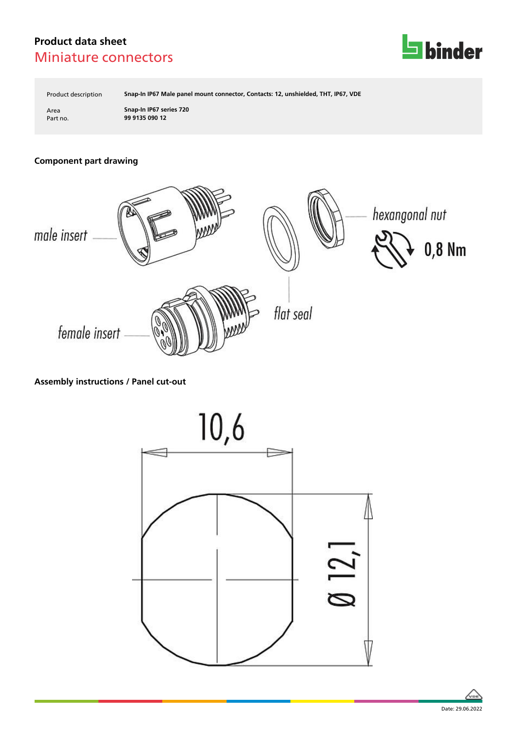

Product description **Snap-In IP67 Male panel mount connector, Contacts: 12, unshielded, THT, IP67, VDE**

Area **Snap-In IP67 series 720** Part no. **99 9135 090 12**

# **Component part drawing**



### **Assembly instructions / Panel cut-out**